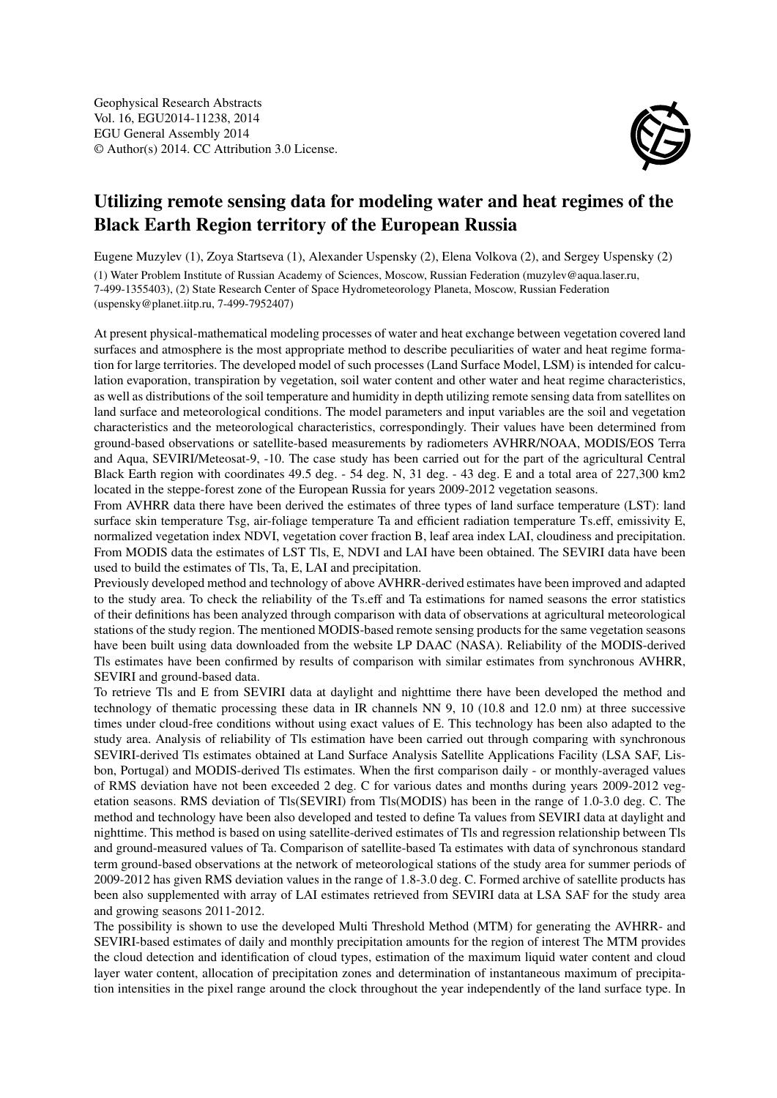

## Utilizing remote sensing data for modeling water and heat regimes of the Black Earth Region territory of the European Russia

Eugene Muzylev (1), Zoya Startseva (1), Alexander Uspensky (2), Elena Volkova (2), and Sergey Uspensky (2) (1) Water Problem Institute of Russian Academy of Sciences, Moscow, Russian Federation (muzylev@aqua.laser.ru, 7-499-1355403), (2) State Research Center of Space Hydrometeorology Planeta, Moscow, Russian Federation (uspensky@planet.iitp.ru, 7-499-7952407)

At present physical-mathematical modeling processes of water and heat exchange between vegetation covered land surfaces and atmosphere is the most appropriate method to describe peculiarities of water and heat regime formation for large territories. The developed model of such processes (Land Surface Model, LSM) is intended for calculation evaporation, transpiration by vegetation, soil water content and other water and heat regime characteristics, as well as distributions of the soil temperature and humidity in depth utilizing remote sensing data from satellites on land surface and meteorological conditions. The model parameters and input variables are the soil and vegetation characteristics and the meteorological characteristics, correspondingly. Their values have been determined from ground-based observations or satellite-based measurements by radiometers AVHRR/NOAA, MODIS/EOS Terra and Aqua, SEVIRI/Meteosat-9, -10. The case study has been carried out for the part of the agricultural Central Black Earth region with coordinates 49.5 deg. - 54 deg. N, 31 deg. - 43 deg. E and a total area of 227,300 km2 located in the steppe-forest zone of the European Russia for years 2009-2012 vegetation seasons.

From AVHRR data there have been derived the estimates of three types of land surface temperature (LST): land surface skin temperature Tsg, air-foliage temperature Ta and efficient radiation temperature Ts.eff, emissivity E, normalized vegetation index NDVI, vegetation cover fraction B, leaf area index LAI, cloudiness and precipitation. From MODIS data the estimates of LST Tls, E, NDVI and LAI have been obtained. The SEVIRI data have been used to build the estimates of Tls, Ta, E, LAI and precipitation.

Previously developed method and technology of above AVHRR-derived estimates have been improved and adapted to the study area. To check the reliability of the Ts.eff and Ta estimations for named seasons the error statistics of their definitions has been analyzed through comparison with data of observations at agricultural meteorological stations of the study region. The mentioned MODIS-based remote sensing products for the same vegetation seasons have been built using data downloaded from the website LP DAAC (NASA). Reliability of the MODIS-derived Tls estimates have been confirmed by results of comparison with similar estimates from synchronous AVHRR, SEVIRI and ground-based data.

To retrieve Tls and E from SEVIRI data at daylight and nighttime there have been developed the method and technology of thematic processing these data in IR channels NN 9, 10 (10.8 and 12.0 nm) at three successive times under cloud-free conditions without using exact values of E. This technology has been also adapted to the study area. Analysis of reliability of Tls estimation have been carried out through comparing with synchronous SEVIRI-derived Tls estimates obtained at Land Surface Analysis Satellite Applications Facility (LSA SAF, Lisbon, Portugal) and MODIS-derived Tls estimates. When the first comparison daily - or monthly-averaged values of RMS deviation have not been exceeded 2 deg. C for various dates and months during years 2009-2012 vegetation seasons. RMS deviation of Tls(SEVIRI) from Tls(MODIS) has been in the range of 1.0-3.0 deg. C. The method and technology have been also developed and tested to define Ta values from SEVIRI data at daylight and nighttime. This method is based on using satellite-derived estimates of Tls and regression relationship between Tls and ground-measured values of Ta. Comparison of satellite-based Ta estimates with data of synchronous standard term ground-based observations at the network of meteorological stations of the study area for summer periods of 2009-2012 has given RMS deviation values in the range of 1.8-3.0 deg. C. Formed archive of satellite products has been also supplemented with array of LAI estimates retrieved from SEVIRI data at LSA SAF for the study area and growing seasons 2011-2012.

The possibility is shown to use the developed Multi Threshold Method (MTM) for generating the AVHRR- and SEVIRI-based estimates of daily and monthly precipitation amounts for the region of interest The MTM provides the cloud detection and identification of cloud types, estimation of the maximum liquid water content and cloud layer water content, allocation of precipitation zones and determination of instantaneous maximum of precipitation intensities in the pixel range around the clock throughout the year independently of the land surface type. In